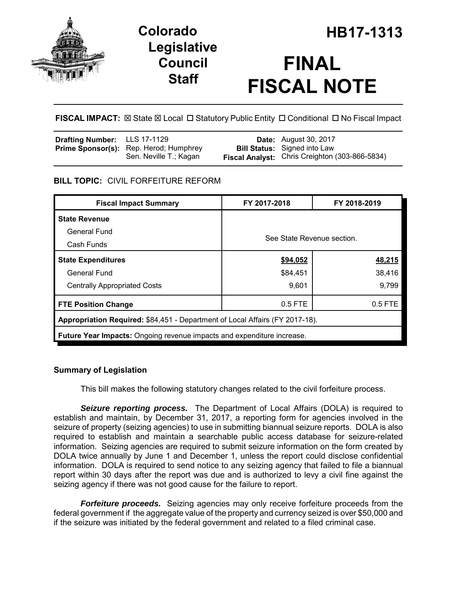

## **Legislative Council Staff**

# **FINAL FISCAL NOTE**

**FISCAL IMPACT:** ⊠ State ⊠ Local □ Statutory Public Entity □ Conditional □ No Fiscal Impact

| <b>Drafting Number:</b> LLS 17-1129 |                                               | <b>Date:</b> August 30, 2017                          |
|-------------------------------------|-----------------------------------------------|-------------------------------------------------------|
|                                     | <b>Prime Sponsor(s):</b> Rep. Herod; Humphrey | <b>Bill Status:</b> Signed into Law                   |
|                                     | Sen. Neville T.; Kagan                        | <b>Fiscal Analyst:</b> Chris Creighton (303-866-5834) |

## **BILL TOPIC:** CIVIL FORFEITURE REFORM

| <b>Fiscal Impact Summary</b>                                                  | FY 2017-2018               | FY 2018-2019 |  |  |  |
|-------------------------------------------------------------------------------|----------------------------|--------------|--|--|--|
| <b>State Revenue</b>                                                          |                            |              |  |  |  |
| General Fund                                                                  | See State Revenue section. |              |  |  |  |
| Cash Funds                                                                    |                            |              |  |  |  |
| <b>State Expenditures</b>                                                     | \$94,052                   | 48,215       |  |  |  |
| General Fund                                                                  | \$84,451                   | 38,416       |  |  |  |
| <b>Centrally Appropriated Costs</b>                                           | 9,601                      | 9.799        |  |  |  |
| <b>FTE Position Change</b>                                                    | $0.5$ FTE                  | $0.5$ FTE    |  |  |  |
| Appropriation Required: \$84,451 - Department of Local Affairs (FY 2017-18).  |                            |              |  |  |  |
| <b>Future Year Impacts:</b> Ongoing revenue impacts and expenditure increase. |                            |              |  |  |  |

## **Summary of Legislation**

This bill makes the following statutory changes related to the civil forfeiture process.

*Seizure reporting process.* The Department of Local Affairs (DOLA) is required to establish and maintain, by December 31, 2017, a reporting form for agencies involved in the seizure of property (seizing agencies) to use in submitting biannual seizure reports. DOLA is also required to establish and maintain a searchable public access database for seizure-related information. Seizing agencies are required to submit seizure information on the form created by DOLA twice annually by June 1 and December 1, unless the report could disclose confidential information. DOLA is required to send notice to any seizing agency that failed to file a biannual report within 30 days after the report was due and is authorized to levy a civil fine against the seizing agency if there was not good cause for the failure to report.

*Forfeiture proceeds.* Seizing agencies may only receive forfeiture proceeds from the federal government if the aggregate value of the property and currency seized is over \$50,000 and if the seizure was initiated by the federal government and related to a filed criminal case.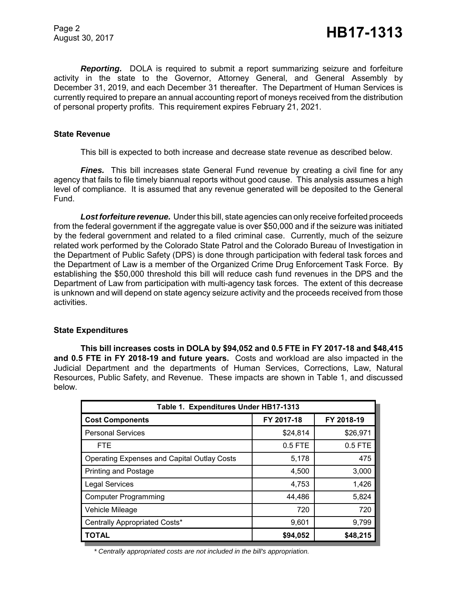Page 2

*Reporting.* DOLA is required to submit a report summarizing seizure and forfeiture activity in the state to the Governor, Attorney General, and General Assembly by December 31, 2019, and each December 31 thereafter. The Department of Human Services is currently required to prepare an annual accounting report of moneys received from the distribution of personal property profits. This requirement expires February 21, 2021.

#### **State Revenue**

This bill is expected to both increase and decrease state revenue as described below.

**Fines.** This bill increases state General Fund revenue by creating a civil fine for any agency that fails to file timely biannual reports without good cause. This analysis assumes a high level of compliance. It is assumed that any revenue generated will be deposited to the General Fund.

*Lost forfeiture revenue.* Under this bill, state agencies can only receive forfeited proceeds from the federal government if the aggregate value is over \$50,000 and if the seizure was initiated by the federal government and related to a filed criminal case. Currently, much of the seizure related work performed by the Colorado State Patrol and the Colorado Bureau of Investigation in the Department of Public Safety (DPS) is done through participation with federal task forces and the Department of Law is a member of the Organized Crime Drug Enforcement Task Force. By establishing the \$50,000 threshold this bill will reduce cash fund revenues in the DPS and the Department of Law from participation with multi-agency task forces. The extent of this decrease is unknown and will depend on state agency seizure activity and the proceeds received from those activities.

#### **State Expenditures**

**This bill increases costs in DOLA by \$94,052 and 0.5 FTE in FY 2017-18 and \$48,415 and 0.5 FTE in FY 2018-19 and future years.** Costs and workload are also impacted in the Judicial Department and the departments of Human Services, Corrections, Law, Natural Resources, Public Safety, and Revenue. These impacts are shown in Table 1, and discussed below.

| Table 1. Expenditures Under HB17-1313       |            |            |  |  |  |  |
|---------------------------------------------|------------|------------|--|--|--|--|
| <b>Cost Components</b>                      | FY 2017-18 | FY 2018-19 |  |  |  |  |
| <b>Personal Services</b>                    | \$24,814   | \$26,971   |  |  |  |  |
| <b>FTE</b>                                  | $0.5$ FTE  | 0.5 FTE    |  |  |  |  |
| Operating Expenses and Capital Outlay Costs | 5,178      | 475        |  |  |  |  |
| <b>Printing and Postage</b>                 | 4,500      | 3,000      |  |  |  |  |
| <b>Legal Services</b>                       | 4,753      | 1,426      |  |  |  |  |
| <b>Computer Programming</b>                 | 44,486     | 5,824      |  |  |  |  |
| <b>Vehicle Mileage</b>                      | 720        | 720        |  |  |  |  |
| Centrally Appropriated Costs*               | 9,601      | 9,799      |  |  |  |  |
| <b>TOTAL</b>                                | \$94,052   | \$48,215   |  |  |  |  |

*\* Centrally appropriated costs are not included in the bill's appropriation.*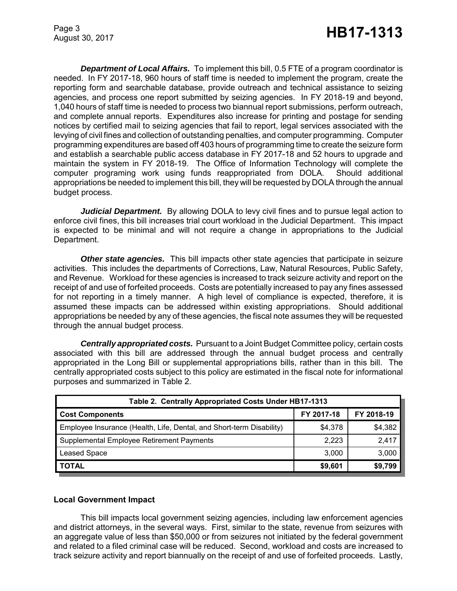Page 3

*Department of Local Affairs.* To implement this bill, 0.5 FTE of a program coordinator is needed. In FY 2017-18, 960 hours of staff time is needed to implement the program, create the reporting form and searchable database, provide outreach and technical assistance to seizing agencies, and process one report submitted by seizing agencies. In FY 2018-19 and beyond, 1,040 hours of staff time is needed to process two biannual report submissions, perform outreach, and complete annual reports. Expenditures also increase for printing and postage for sending notices by certified mail to seizing agencies that fail to report, legal services associated with the levying of civil fines and collection of outstanding penalties, and computer programming. Computer programming expenditures are based off 403 hours of programming time to create the seizure form and establish a searchable public access database in FY 2017-18 and 52 hours to upgrade and maintain the system in FY 2018-19. The Office of Information Technology will complete the computer programing work using funds reappropriated from DOLA. Should additional appropriations be needed to implement this bill, they will be requested by DOLA through the annual budget process.

*Judicial Department.* By allowing DOLA to levy civil fines and to pursue legal action to enforce civil fines, this bill increases trial court workload in the Judicial Department. This impact is expected to be minimal and will not require a change in appropriations to the Judicial Department.

*Other state agencies.* This bill impacts other state agencies that participate in seizure activities. This includes the departments of Corrections, Law, Natural Resources, Public Safety, and Revenue. Workload for these agencies is increased to track seizure activity and report on the receipt of and use of forfeited proceeds. Costs are potentially increased to pay any fines assessed for not reporting in a timely manner. A high level of compliance is expected, therefore, it is assumed these impacts can be addressed within existing appropriations. Should additional appropriations be needed by any of these agencies, the fiscal note assumes they will be requested through the annual budget process.

*Centrally appropriated costs.* Pursuant to a Joint Budget Committee policy, certain costs associated with this bill are addressed through the annual budget process and centrally appropriated in the Long Bill or supplemental appropriations bills, rather than in this bill. The centrally appropriated costs subject to this policy are estimated in the fiscal note for informational purposes and summarized in Table 2.

| Table 2. Centrally Appropriated Costs Under HB17-1313                |            |            |  |  |  |
|----------------------------------------------------------------------|------------|------------|--|--|--|
| <b>Cost Components</b>                                               | FY 2017-18 | FY 2018-19 |  |  |  |
| Employee Insurance (Health, Life, Dental, and Short-term Disability) | \$4,378    | \$4,382    |  |  |  |
| Supplemental Employee Retirement Payments                            | 2,223      | 2,417      |  |  |  |
| <b>Leased Space</b>                                                  | 3,000      | 3,000      |  |  |  |
| <b>TOTAL</b>                                                         | \$9,601    | \$9,799    |  |  |  |

#### **Local Government Impact**

This bill impacts local government seizing agencies, including law enforcement agencies and district attorneys, in the several ways. First, similar to the state, revenue from seizures with an aggregate value of less than \$50,000 or from seizures not initiated by the federal government and related to a filed criminal case will be reduced. Second, workload and costs are increased to track seizure activity and report biannually on the receipt of and use of forfeited proceeds. Lastly,